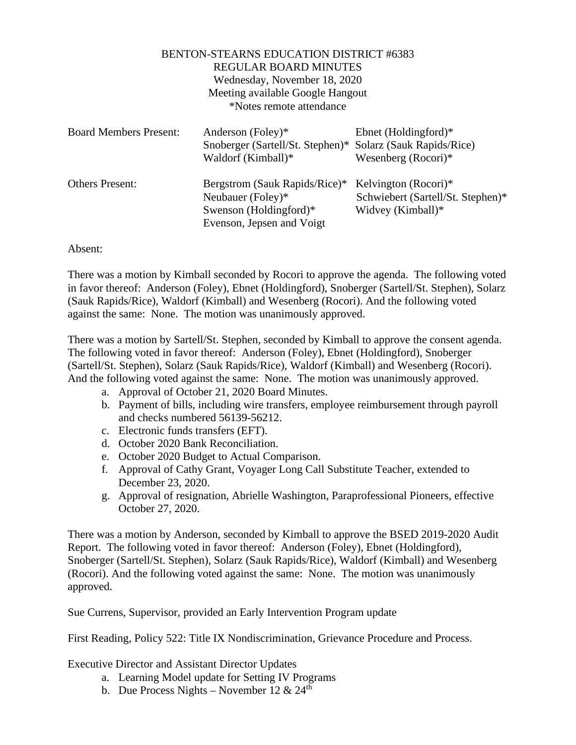|                               | <b>BENTON-STEARNS EDUCATION DISTRICT #6383</b><br><b>REGULAR BOARD MINUTES</b><br>Wednesday, November 18, 2020<br>Meeting available Google Hangout<br>*Notes remote attendance |                                                                                |
|-------------------------------|--------------------------------------------------------------------------------------------------------------------------------------------------------------------------------|--------------------------------------------------------------------------------|
| <b>Board Members Present:</b> | Anderson (Foley)*<br>Snoberger (Sartell/St. Stephen)* Solarz (Sauk Rapids/Rice)<br>Waldorf (Kimball)*                                                                          | Ebnet (Holdingford) $*$<br>Wesenberg $(Rocori)*$                               |
| <b>Others Present:</b>        | Bergstrom (Sauk Rapids/Rice)*<br>Neubauer (Foley)*<br>Swenson (Holdingford) $*$<br>Evenson, Jepsen and Voigt                                                                   | Kelvington (Rocori)*<br>Schwiebert (Sartell/St. Stephen)*<br>Widvey (Kimball)* |

## Absent:

There was a motion by Kimball seconded by Rocori to approve the agenda. The following voted in favor thereof: Anderson (Foley), Ebnet (Holdingford), Snoberger (Sartell/St. Stephen), Solarz (Sauk Rapids/Rice), Waldorf (Kimball) and Wesenberg (Rocori). And the following voted against the same: None. The motion was unanimously approved.

There was a motion by Sartell/St. Stephen, seconded by Kimball to approve the consent agenda. The following voted in favor thereof: Anderson (Foley), Ebnet (Holdingford), Snoberger (Sartell/St. Stephen), Solarz (Sauk Rapids/Rice), Waldorf (Kimball) and Wesenberg (Rocori). And the following voted against the same: None. The motion was unanimously approved.

- a. Approval of October 21, 2020 Board Minutes.
- b. Payment of bills, including wire transfers, employee reimbursement through payroll and checks numbered 56139-56212.
- c. Electronic funds transfers (EFT).
- d. October 2020 Bank Reconciliation.
- e. October 2020 Budget to Actual Comparison.
- f. Approval of Cathy Grant, Voyager Long Call Substitute Teacher, extended to December 23, 2020.
- g. Approval of resignation, Abrielle Washington, Paraprofessional Pioneers, effective October 27, 2020.

There was a motion by Anderson, seconded by Kimball to approve the BSED 2019-2020 Audit Report. The following voted in favor thereof: Anderson (Foley), Ebnet (Holdingford), Snoberger (Sartell/St. Stephen), Solarz (Sauk Rapids/Rice), Waldorf (Kimball) and Wesenberg (Rocori). And the following voted against the same: None. The motion was unanimously approved.

Sue Currens, Supervisor, provided an Early Intervention Program update

First Reading, Policy 522: Title IX Nondiscrimination, Grievance Procedure and Process.

Executive Director and Assistant Director Updates

- a. Learning Model update for Setting IV Programs
- b. Due Process Nights November 12 &  $24<sup>th</sup>$